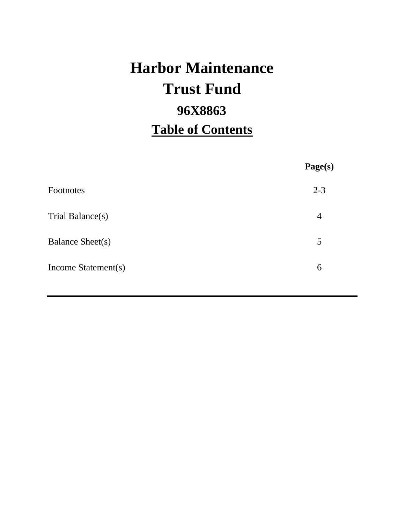# **Harbor Maintenance 96X8863 Table of Contents Trust Fund**

|                         | Page(s)        |
|-------------------------|----------------|
| Footnotes               | $2 - 3$        |
| Trial Balance(s)        | $\overline{4}$ |
| <b>Balance Sheet(s)</b> | 5              |
| Income Statement(s)     | 6              |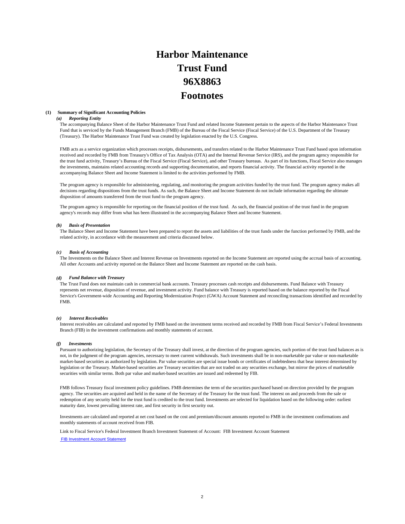## **Harbor Maintenance Trust Fund 96X8863 Footnotes**

#### **(1) Summary of Significant Accounting Policies**

#### *(a) Reporting Entity*

The accompanying Balance Sheet of the Harbor Maintenance Trust Fund and related Income Statement pertain to the aspects of the Harbor Maintenance Trust Fund that is serviced by the Funds Management Branch (FMB) of the Bureau of the Fiscal Service (Fiscal Service) of the U.S. Department of the Treasury (Treasury). The Harbor Maintenance Trust Fund was created by legislation enacted by the U.S. Congress.

FMB acts as a service organization which processes receipts, disbursements, and transfers related to the Harbor Maintenance Trust Fund based upon information received and recorded by FMB from Treasury's Office of Tax Analysis (OTA) and the Internal Revenue Service (IRS), and the program agency responsible for the trust fund activity, Treasury's Bureau of the Fiscal Service (Fiscal Service), and other Treasury bureaus. As part of its functions, Fiscal Service also manages the investments, maintains related accounting records and supporting documentation, and reports financial activity. The financial activity reported in the accompanying Balance Sheet and Income Statement is limited to the activities performed by FMB.

The program agency is responsible for administering, regulating, and monitoring the program activities funded by the trust fund. The program agency makes all decisions regarding dispositions from the trust funds. As such, the Balance Sheet and Income Statement do not include information regarding the ultimate disposition of amounts transferred from the trust fund to the program agency.

The program agency is responsible for reporting on the financial position of the trust fund. As such, the financial position of the trust fund in the program agency's records may differ from what has been illustrated in the accompanying Balance Sheet and Income Statement.

#### *(b) Basis of Presentation*

The Balance Sheet and Income Statement have been prepared to report the assets and liabilities of the trust funds under the function performed by FMB, and the related activity, in accordance with the measurement and criteria discussed below.

#### *(c) Basis of Accounting*

The Investments on the Balance Sheet and Interest Revenue on Investments reported on the Income Statement are reported using the accrual basis of accounting. All other Accounts and activity reported on the Balance Sheet and Income Statement are reported on the cash basis.

#### *(d) Fund Balance with Treasury*

The Trust Fund does not maintain cash in commercial bank accounts. Treasury processes cash receipts and disbursements. Fund Balance with Treasury represents net revenue, disposition of revenue, and investment activity. Fund balance with Treasury is reported based on the balance reported by the Fiscal Service's Government-wide Accounting and Reporting Modernization Project (GWA) Account Statement and reconciling transactions identified and recorded by FMB.

#### *(e) Interest Receivables*

Interest receivables are calculated and reported by FMB based on the investment terms received and recorded by FMB from Fiscal Service's Federal Investments Branch (FIB) in the investment confirmations and monthly statements of account.

#### *(f) Investments*

Pursuant to authorizing legislation, the Secretary of the Treasury shall invest, at the direction of the program agencies, such portion of the trust fund balances as is not, in the judgment of the program agencies, necessary to meet current withdrawals. Such investments shall be in non-marketable par value or non-marketable market-based securities as authorized by legislation. Par value securities are special issue bonds or certificates of indebtedness that bear interest determined by legislation or the Treasury. Market-based securities are Treasury securities that are not traded on any securities exchange, but mirror the prices of marketable securities with similar terms. Both par value and market-based securities are issued and redeemed by FIB.

FMB follows Treasury fiscal investment policy guidelines. FMB determines the term of the securities purchased based on direction provided by the program agency. The securities are acquired and held in the name of the Secretary of the Treasury for the trust fund. The interest on and proceeds from the sale or redemption of any security held for the trust fund is credited to the trust fund. Investments are selected for liquidation based on the following order: earliest maturity date, lowest prevailing interest rate, and first security in first security out.

Investments are calculated and reported at net cost based on the cost and premium/discount amounts reported to FMB in the investment confirmations and monthly statements of account received from FIB.

Link to Fiscal Service's Federal Investment Branch Investment Statement of Account: FIB Investment Account Statement

FIB Investment Account Statement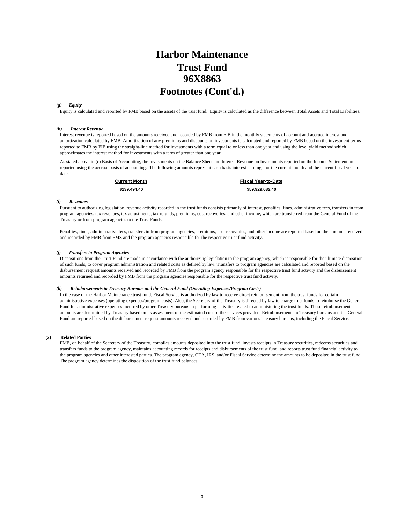### **Harbor Maintenance Trust Fund 96X8863 Footnotes (Cont'd.)**

#### *(g) Equity*

Equity is calculated and reported by FMB based on the assets of the trust fund. Equity is calculated as the difference between Total Assets and Total Liabilities.

#### *(h) Interest Revenue*

Interest revenue is reported based on the amounts received and recorded by FMB from FIB in the monthly statements of account and accrued interest and amortization calculated by FMB. Amortization of any premiums and discounts on investments is calculated and reported by FMB based on the investment terms reported to FMB by FIB using the straight-line method for investments with a term equal to or less than one year and using the level yield method which approximates the interest method for investments with a term of greater than one year.

As stated above in (c) Basis of Accounting, the Investments on the Balance Sheet and Interest Revenue on Investments reported on the Income Statement are reported using the accrual basis of accounting. The following amounts represent cash basis interest earnings for the current month and the current fiscal year-todate.

**\$139,494.40 \$59,929,082.40 Current Month Fiscal Year-to-Date**

#### *(i) Revenues*

Pursuant to authorizing legislation, revenue activity recorded in the trust funds consists primarily of interest, penalties, fines, administrative fees, transfers in from program agencies, tax revenues, tax adjustments, tax refunds, premiums, cost recoveries, and other income, which are transferred from the General Fund of the Treasury or from program agencies to the Trust Funds.

Penalties, fines, administrative fees, transfers in from program agencies, premiums, cost recoveries, and other income are reported based on the amounts received and recorded by FMB from FMS and the program agencies responsible for the respective trust fund activity.

#### *(j) Transfers to Program Agencies*

Dispositions from the Trust Fund are made in accordance with the authorizing legislation to the program agency, which is responsible for the ultimate disposition of such funds, to cover program administration and related costs as defined by law. Transfers to program agencies are calculated and reported based on the disbursement request amounts received and recorded by FMB from the program agency responsible for the respective trust fund activity and the disbursement amounts returned and recorded by FMB from the program agencies responsible for the respective trust fund activity.

#### *(k) Reimbursements to Treasury Bureaus and the General Fund (Operating Expenses/Program Costs)*

In the case of the Harbor Maintenance trust fund, Fiscal Service is authorized by law to receive direct reimbursement from the trust funds for certain administrative expenses (operating expenses/program costs). Also, the Secretary of the Treasury is directed by law to charge trust funds to reimburse the General Fund for administrative expenses incurred by other Treasury bureaus in performing activities related to administering the trust funds. These reimbursement amounts are determined by Treasury based on its assessment of the estimated cost of the services provided. Reimbursements to Treasury bureaus and the General Fund are reported based on the disbursement request amounts received and recorded by FMB from various Treasury bureaus, including the Fiscal Service.

#### **(2) Related Parties**

FMB, on behalf of the Secretary of the Treasury, compiles amounts deposited into the trust fund, invests receipts in Treasury securities, redeems securities and transfers funds to the program agency, maintains accounting records for receipts and disbursements of the trust fund, and reports trust fund financial activity to the program agencies and other interested parties. The program agency, OTA, IRS, and/or Fiscal Service determine the amounts to be deposited in the trust fund. The program agency determines the disposition of the trust fund balances.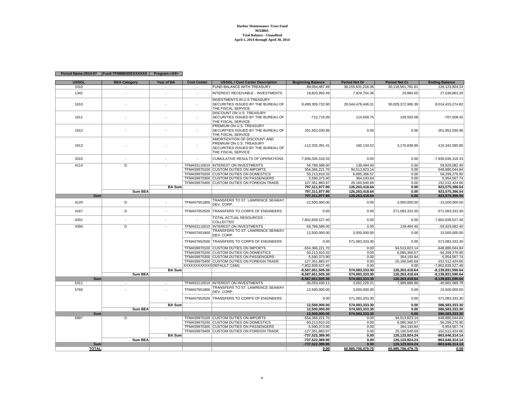**Harbor Maintenance Trust Fund 96X8863 Trial Balance - UnauditedApril 1, 2014 through April 30, 2014**

#### **Period Name:2014-07 Fund:TFM8863DEXXXXXX Program:<All>**

| <b>USSGL</b> | <b>BEA Category</b>     | Year of BA               | <b>Cost Center</b> | <b>USSGL / Cost Center Description</b>                                                                               | <b>Beginning Balance</b> | <b>Period Net Dr</b>  | <b>Period Net Cr</b> | <b>Ending Balance</b> |
|--------------|-------------------------|--------------------------|--------------------|----------------------------------------------------------------------------------------------------------------------|--------------------------|-----------------------|----------------------|-----------------------|
| 1010         | $\sim$                  | $\overline{\phantom{a}}$ | ×.                 | FUND BALANCE WITH TREASURY                                                                                           | 89,054,487.49            | 30, 155, 631, 218. 36 | 30,118,561,781.61    | 126, 123, 924. 24     |
| 1342         |                         | $\overline{\phantom{a}}$ | ٠                  | <b>INTEREST RECEIVABLE - INVESTMENTS</b>                                                                             | 19.833.993.49            | 7,829,754.36          | 24.884.65            | 27,638,863.20         |
| 1610         |                         | ÷                        | ÷.                 | <b>INVESTMENTS IN U.S TREASURY</b><br>SECURITIES ISSUED BY THE BUREAU OF<br>THE FISCAL SERVICE                       | 8,499,309,732.90         | 29,544,478,448.31     | 30,029,372,906.39    | 8,014,415,274.82      |
| 1611         |                         |                          |                    | DISCOUNT ON U.S. TREASURY<br>SECURITIES ISSUED BY THE BUREAU OF<br>THE FISCAL SERVICE                                | $-712,715.09$            | 114,609.75            | 109,503.08           | $-707,608.42$         |
| 1612         |                         |                          |                    | PREMIUM ON U.S. TREASURY<br>SECURITIES ISSUED BY THE BUREAU OF<br>THE FISCAL SERVICE                                 | 201,952,030.96           | 0.00                  | 0.00                 | 201,952,030.96        |
| 1613         |                         |                          |                    | AMORTIZATION OF DISCOUNT AND<br>PREMIUM ON U.S. TREASURY<br>SECURITIES ISSUED BY THE BUREAU OF<br>THE FISCAL SERVICE | $-112,325,391.41$        | 160,134.52            | 3,176,838.96         | -115,342,095.85       |
| 3310         |                         |                          |                    | CUMULATIVE RESULTS OF OPERATIONS                                                                                     | -7,936,036,318.33        | 0.00                  | 0.00                 | -7,936,036,318.33     |
| 4114         | $\overline{D}$          | $\sim$                   |                    | TFMA53110010 INTEREST ON INVESTMENTS                                                                                 | 59,789,588.00            | 139,494.40            | 0.00                 | 59,929,082.40         |
|              |                         |                          |                    | TFMA59970100 CUSTOM DUTIES ON IMPORTS                                                                                | 554,366,221.70           | 94,513,823.14         | 0.00                 | 648,880,044.84        |
|              |                         |                          |                    | TFMA59970200 CUSTOM DUTIES ON DOMESTICS                                                                              | 50,213,910.33            | 6.085.366.57          | 0.00                 | 56,299,276.90         |
|              |                         |                          |                    | TFMA59970300 CUSTOM DUTIES ON PASSENGERS                                                                             | 5,590,373.90             | 364,193.84            | 0.00                 | 5,954,567.74          |
|              |                         |                          |                    | TFMA59970400 CUSTOM DUTIES ON FOREIGN TRADE                                                                          | 127,351,883.97           | 25,160,540.69         | 0.00                 | 152,512,424.66        |
|              |                         | <b>BA Sum</b>            |                    |                                                                                                                      | 797,311,977.90           | 126,263,418.64        | 0.00                 | 923,575,396.54        |
|              | Sum BEA                 |                          |                    |                                                                                                                      | 797,311,977.90           | 126,263,418.64        | 0.00                 | 923,575,396.54        |
| Sum          |                         |                          |                    |                                                                                                                      | 797,311,977.90           | 126,263,418.64        | 0.00                 | 923,575,396.54        |
| 4129         | D                       |                          | TFMA57651800       | TRANSFERS TO ST. LAWRENCE SEAWAY<br>DEV. CORP.                                                                       | $-12,500,000.00$         | 0.00                  | 3,000,000.00         | $-15,500,000.00$      |
| 4167         | D                       | ٠                        | TFMA57652500       | TRANSFERS TO CORPS OF ENGINEERS                                                                                      | 0.00                     | 0.00                  | 571,083,333.30       | -571,083,333.30       |
| 4201         |                         | ÷.                       |                    | TOTAL ACTUAL RESOURCES -<br>COLLECTED                                                                                | 7,802,839,527.40         | 0.00                  | 0.00                 | 7,802,839,527.40      |
| 4394         | $\overline{\mathsf{D}}$ | ٠                        |                    | TFMA53110010 INTEREST ON INVESTMENTS                                                                                 | -59.789.588.00           | 0.00                  | 139.494.40           | $-59,929,082.40$      |
|              |                         |                          | TFMA57651800       | TRANSFERS TO ST. LAWRENCE SEAWAY<br>DEV. CORP                                                                        | 12,500,000.00            | 3,000,000.00          | 0.00                 | 15,500,000.00         |
|              |                         |                          | TFMA57652500       | TRANSFERS TO CORPS OF ENGINEERS                                                                                      | 0.00                     | 571,083,333.30        | 0.00                 | 571,083,333.30        |
|              |                         |                          |                    | TFMA59970100 CUSTOM DUTIES ON IMPORTS                                                                                | -554,366,221.70          | 0.00                  | 94,513,823.14        | $-648.880.044.84$     |
|              |                         |                          |                    | TFMA59970200 CUSTOM DUTIES ON DOMESTICS                                                                              | -50.213.910.33           | 0.00                  | 6.085.366.57         | -56.299.276.90        |
|              |                         |                          |                    | TFMA59970300 CUSTOM DUTIES ON PASSENGERS                                                                             | $-5,590,373.90$          | 0.00                  | 364,193.84           | $-5,954,567.74$       |
|              |                         |                          |                    | TFMA59970400 CUSTOM DUTIES ON FOREIGN TRADE                                                                          | -127,351,883.97          | 0.00                  | 25,160,540.69        | -152,512,424.66       |
|              |                         |                          |                    | XXXXXXXXXXX DEFAULT CAM1                                                                                             | -7,802,839,527.40        | 0.00                  | 0.00                 | -7,802,839,527.40     |
|              |                         | <b>BA Sum</b>            |                    |                                                                                                                      | -8,587,651,505.30        | 574,083,333.30        | 126,263,418.64       | -8,139,831,590.64     |
|              | <b>Sum BEA</b>          |                          |                    |                                                                                                                      | $-8,587,651,505.30$      | 574,083,333.30        | 126,263,418.64       | -8,139,831,590.64     |
| Sum          |                         |                          |                    |                                                                                                                      | -8.587.651.505.30        | 574.083.333.30        | 126,263,418.64       | $-8.139.831.590.64$   |
| 5311         | $\overline{a}$          | $\sim$                   |                    | TFMA53110010  INTEREST ON INVESTMENTS                                                                                | $-36,053,430.11$         | 3,062,229.21          | 7,989,888.88         | -40,981,089.78        |
| 5765         |                         |                          | TFMA57651800       | TRANSFERS TO ST. LAWRENCE SEAWAY<br>DEV. CORP.                                                                       | 12,500,000.00            | 3,000,000.00          | 0.00                 | 15,500,000.00         |
|              |                         |                          | TFMA57652500       | TRANSFERS TO CORPS OF ENGINEERS                                                                                      | 0.00                     | 571,083,333.30        | 0.00                 | 571,083,333.30        |
|              |                         | <b>BA Sum</b>            |                    |                                                                                                                      | 12,500,000.00            | 574,083,333.30        | 0.00                 | 586,583,333.30        |
|              | Sum BEA                 |                          |                    |                                                                                                                      | 12,500,000.00            | 574,083,333.30        | 0.00                 | 586,583,333.30        |
| <b>Sum</b>   |                         |                          |                    |                                                                                                                      | 12,500,000.00            | 574,083,333.30        | 0.00                 | 586,583,333.30        |
| 5997         | D                       |                          |                    | TFMA59970100 CUSTOM DUTIES ON IMPORTS                                                                                | -554,366,221.70          | 0.00                  | 94,513,823.14        | $-648,880,044.84$     |
|              |                         |                          |                    | TFMA59970200 CUSTOM DUTIES ON DOMESTICS                                                                              | -50,213,910.33           | 0.00                  | 6,085,366.57         | $-56,299,276.90$      |
|              |                         |                          |                    | TFMA59970300 CUSTOM DUTIES ON PASSENGERS                                                                             | $-5,590,373.90$          | 0.00                  | 364,193.84           | $-5,954,567.74$       |
|              |                         |                          |                    | TFMA59970400 CUSTOM DUTIES ON FOREIGN TRADE                                                                          | -127,351,883.97          | 0.00                  | 25,160,540.69        | -152,512,424.66       |
|              |                         | <b>BA Sum</b>            |                    |                                                                                                                      | -737,522,389.90          | 0.00                  | 126, 123, 924. 24    | -863,646,314.14       |
|              | Sum BEA                 |                          |                    |                                                                                                                      | -737,522,389.90          | 0.00                  | 126,123,924.24       | -863,646,314.14       |
| Sum          |                         |                          |                    |                                                                                                                      | -737.522.389.90          | 0.00                  | 126, 123, 924. 24    | -863,646,314.14       |
| <b>TOTAL</b> |                         |                          |                    |                                                                                                                      | 0.00                     | 60,985,706,479.75     | 60,985,706,479.75    | 0.00                  |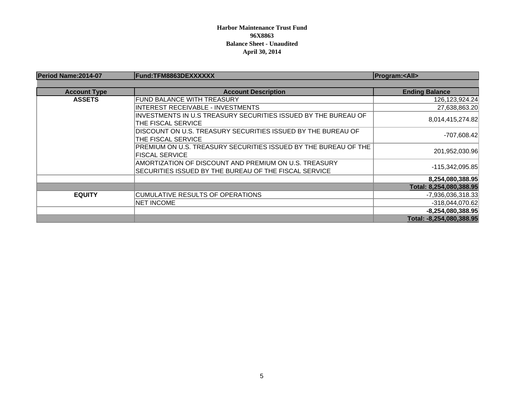### **Harbor Maintenance Trust Fund 96X8863 Balance Sheet - Unaudited April 30, 2014**

| Period Name: 2014-07 | Fund:TFM8863DEXXXXXX                                            | <b>Program:<all></all></b> |
|----------------------|-----------------------------------------------------------------|----------------------------|
|                      |                                                                 |                            |
| <b>Account Type</b>  | <b>Account Description</b>                                      | <b>Ending Balance</b>      |
| <b>ASSETS</b>        | <b>FUND BALANCE WITH TREASURY</b>                               | 126, 123, 924. 24          |
|                      | INTEREST RECEIVABLE - INVESTMENTS                               | 27,638,863.20              |
|                      | INVESTMENTS IN U.S TREASURY SECURITIES ISSUED BY THE BUREAU OF  |                            |
|                      | THE FISCAL SERVICE                                              | 8,014,415,274.82           |
|                      | DISCOUNT ON U.S. TREASURY SECURITIES ISSUED BY THE BUREAU OF    |                            |
|                      | THE FISCAL SERVICE                                              | -707,608.42                |
|                      | PREMIUM ON U.S. TREASURY SECURITIES ISSUED BY THE BUREAU OF THE |                            |
|                      | <b>FISCAL SERVICE</b>                                           | 201,952,030.96             |
|                      | AMORTIZATION OF DISCOUNT AND PREMIUM ON U.S. TREASURY           |                            |
|                      | SECURITIES ISSUED BY THE BUREAU OF THE FISCAL SERVICE           | -115,342,095.85            |
|                      |                                                                 | 8,254,080,388.95           |
|                      |                                                                 | Total: 8,254,080,388.95    |
| <b>EQUITY</b>        | CUMULATIVE RESULTS OF OPERATIONS                                | -7,936,036,318.33          |
|                      | <b>NET INCOME</b>                                               | -318,044,070.62            |
|                      |                                                                 | $-8,254,080,388.95$        |
|                      |                                                                 | Total: -8,254,080,388.95   |